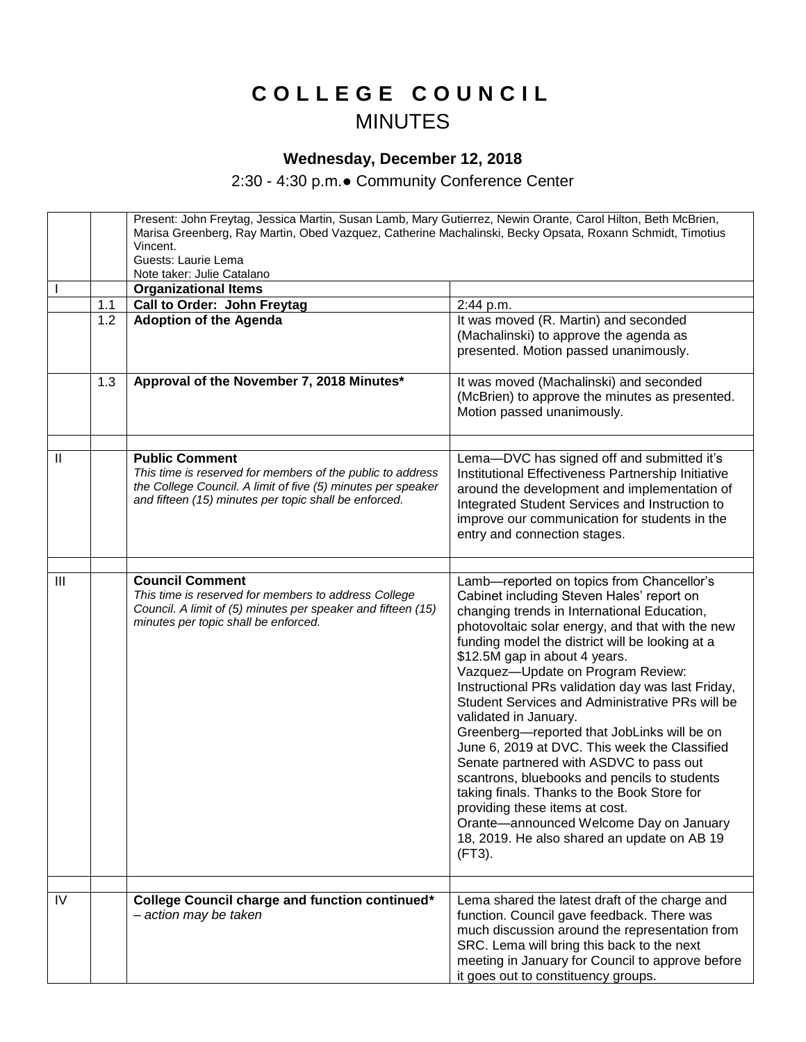## **C O L L E G E C O U N C I L** MINUTES

## **Wednesday, December 12, 2018**

2:30 - 4:30 p.m.● Community Conference Center

|               |     | Present: John Freytag, Jessica Martin, Susan Lamb, Mary Gutierrez, Newin Orante, Carol Hilton, Beth McBrien,<br>Marisa Greenberg, Ray Martin, Obed Vazquez, Catherine Machalinski, Becky Opsata, Roxann Schmidt, Timotius<br>Vincent.<br>Guests: Laurie Lema<br>Note taker: Julie Catalano |                                                                                                                                                                                                                                                                                                                                                                                                                                                                                                                                                                                                                                                                                                                                                                                                                                     |  |
|---------------|-----|--------------------------------------------------------------------------------------------------------------------------------------------------------------------------------------------------------------------------------------------------------------------------------------------|-------------------------------------------------------------------------------------------------------------------------------------------------------------------------------------------------------------------------------------------------------------------------------------------------------------------------------------------------------------------------------------------------------------------------------------------------------------------------------------------------------------------------------------------------------------------------------------------------------------------------------------------------------------------------------------------------------------------------------------------------------------------------------------------------------------------------------------|--|
|               |     | <b>Organizational Items</b>                                                                                                                                                                                                                                                                |                                                                                                                                                                                                                                                                                                                                                                                                                                                                                                                                                                                                                                                                                                                                                                                                                                     |  |
|               | 1.1 | Call to Order: John Freytag                                                                                                                                                                                                                                                                | 2:44 p.m.                                                                                                                                                                                                                                                                                                                                                                                                                                                                                                                                                                                                                                                                                                                                                                                                                           |  |
|               | 1.2 | <b>Adoption of the Agenda</b>                                                                                                                                                                                                                                                              | It was moved (R. Martin) and seconded<br>(Machalinski) to approve the agenda as<br>presented. Motion passed unanimously.                                                                                                                                                                                                                                                                                                                                                                                                                                                                                                                                                                                                                                                                                                            |  |
|               | 1.3 | Approval of the November 7, 2018 Minutes*                                                                                                                                                                                                                                                  | It was moved (Machalinski) and seconded<br>(McBrien) to approve the minutes as presented.<br>Motion passed unanimously.                                                                                                                                                                                                                                                                                                                                                                                                                                                                                                                                                                                                                                                                                                             |  |
| $\mathbf{II}$ |     | <b>Public Comment</b>                                                                                                                                                                                                                                                                      | Lema-DVC has signed off and submitted it's                                                                                                                                                                                                                                                                                                                                                                                                                                                                                                                                                                                                                                                                                                                                                                                          |  |
|               |     | This time is reserved for members of the public to address<br>the College Council. A limit of five (5) minutes per speaker<br>and fifteen (15) minutes per topic shall be enforced.                                                                                                        | Institutional Effectiveness Partnership Initiative<br>around the development and implementation of<br>Integrated Student Services and Instruction to<br>improve our communication for students in the<br>entry and connection stages.                                                                                                                                                                                                                                                                                                                                                                                                                                                                                                                                                                                               |  |
|               |     |                                                                                                                                                                                                                                                                                            |                                                                                                                                                                                                                                                                                                                                                                                                                                                                                                                                                                                                                                                                                                                                                                                                                                     |  |
| III           |     | <b>Council Comment</b><br>This time is reserved for members to address College<br>Council. A limit of (5) minutes per speaker and fifteen (15)<br>minutes per topic shall be enforced.                                                                                                     | Lamb-reported on topics from Chancellor's<br>Cabinet including Steven Hales' report on<br>changing trends in International Education,<br>photovoltaic solar energy, and that with the new<br>funding model the district will be looking at a<br>\$12.5M gap in about 4 years.<br>Vazquez-Update on Program Review:<br>Instructional PRs validation day was last Friday,<br>Student Services and Administrative PRs will be<br>validated in January.<br>Greenberg-reported that JobLinks will be on<br>June 6, 2019 at DVC. This week the Classified<br>Senate partnered with ASDVC to pass out<br>scantrons, bluebooks and pencils to students<br>taking finals. Thanks to the Book Store for<br>providing these items at cost.<br>Orante-announced Welcome Day on January<br>18, 2019. He also shared an update on AB 19<br>(FT3). |  |
| IV            |     | College Council charge and function continued*<br>- action may be taken                                                                                                                                                                                                                    | Lema shared the latest draft of the charge and<br>function. Council gave feedback. There was<br>much discussion around the representation from<br>SRC. Lema will bring this back to the next<br>meeting in January for Council to approve before<br>it goes out to constituency groups.                                                                                                                                                                                                                                                                                                                                                                                                                                                                                                                                             |  |